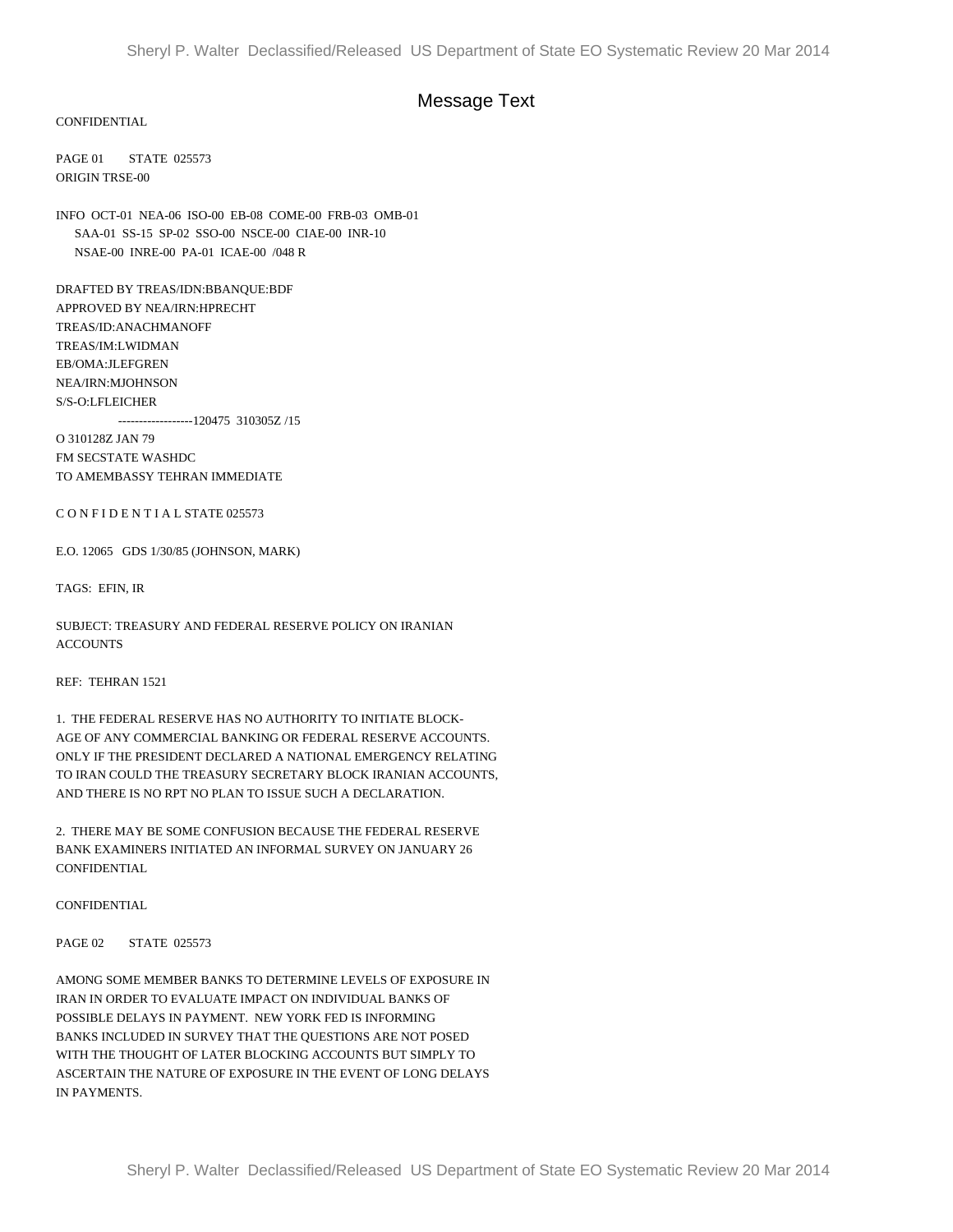## Message Text

CONFIDENTIAL

PAGE 01 STATE 025573 ORIGIN TRSE-00

INFO OCT-01 NEA-06 ISO-00 EB-08 COME-00 FRB-03 OMB-01 SAA-01 SS-15 SP-02 SSO-00 NSCE-00 CIAE-00 INR-10 NSAE-00 INRE-00 PA-01 ICAE-00 /048 R

DRAFTED BY TREAS/IDN:BBANQUE:BDF APPROVED BY NEA/IRN:HPRECHT TREAS/ID:ANACHMANOFF TREAS/IM:LWIDMAN EB/OMA:JLEFGREN NEA/IRN:MJOHNSON S/S-O:LFLEICHER

------------------120475 310305Z /15

O 310128Z JAN 79 FM SECSTATE WASHDC TO AMEMBASSY TEHRAN IMMEDIATE

C O N F I D E N T I A L STATE 025573

E.O. 12065 GDS 1/30/85 (JOHNSON, MARK)

TAGS: EFIN, IR

SUBJECT: TREASURY AND FEDERAL RESERVE POLICY ON IRANIAN ACCOUNTS

REF: TEHRAN 1521

1. THE FEDERAL RESERVE HAS NO AUTHORITY TO INITIATE BLOCK-AGE OF ANY COMMERCIAL BANKING OR FEDERAL RESERVE ACCOUNTS. ONLY IF THE PRESIDENT DECLARED A NATIONAL EMERGENCY RELATING TO IRAN COULD THE TREASURY SECRETARY BLOCK IRANIAN ACCOUNTS, AND THERE IS NO RPT NO PLAN TO ISSUE SUCH A DECLARATION.

2. THERE MAY BE SOME CONFUSION BECAUSE THE FEDERAL RESERVE BANK EXAMINERS INITIATED AN INFORMAL SURVEY ON JANUARY 26 CONFIDENTIAL

**CONFIDENTIAL** 

PAGE 02 STATE 025573

AMONG SOME MEMBER BANKS TO DETERMINE LEVELS OF EXPOSURE IN IRAN IN ORDER TO EVALUATE IMPACT ON INDIVIDUAL BANKS OF POSSIBLE DELAYS IN PAYMENT. NEW YORK FED IS INFORMING BANKS INCLUDED IN SURVEY THAT THE QUESTIONS ARE NOT POSED WITH THE THOUGHT OF LATER BLOCKING ACCOUNTS BUT SIMPLY TO ASCERTAIN THE NATURE OF EXPOSURE IN THE EVENT OF LONG DELAYS IN PAYMENTS.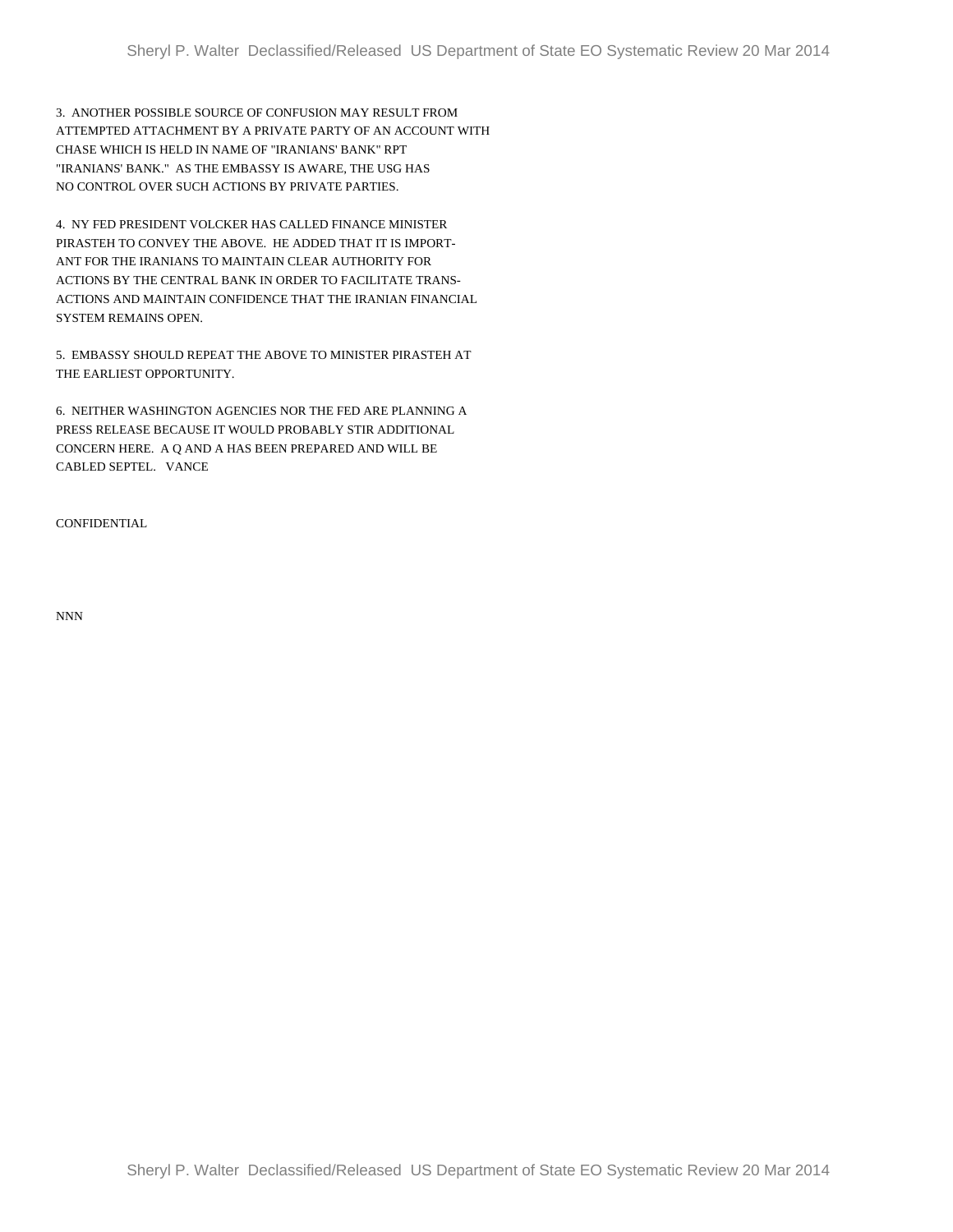3. ANOTHER POSSIBLE SOURCE OF CONFUSION MAY RESULT FROM ATTEMPTED ATTACHMENT BY A PRIVATE PARTY OF AN ACCOUNT WITH CHASE WHICH IS HELD IN NAME OF "IRANIANS' BANK" RPT "IRANIANS' BANK." AS THE EMBASSY IS AWARE, THE USG HAS NO CONTROL OVER SUCH ACTIONS BY PRIVATE PARTIES.

4. NY FED PRESIDENT VOLCKER HAS CALLED FINANCE MINISTER PIRASTEH TO CONVEY THE ABOVE. HE ADDED THAT IT IS IMPORT-ANT FOR THE IRANIANS TO MAINTAIN CLEAR AUTHORITY FOR ACTIONS BY THE CENTRAL BANK IN ORDER TO FACILITATE TRANS-ACTIONS AND MAINTAIN CONFIDENCE THAT THE IRANIAN FINANCIAL SYSTEM REMAINS OPEN.

5. EMBASSY SHOULD REPEAT THE ABOVE TO MINISTER PIRASTEH AT THE EARLIEST OPPORTUNITY.

6. NEITHER WASHINGTON AGENCIES NOR THE FED ARE PLANNING A PRESS RELEASE BECAUSE IT WOULD PROBABLY STIR ADDITIONAL CONCERN HERE. A Q AND A HAS BEEN PREPARED AND WILL BE CABLED SEPTEL. VANCE

**CONFIDENTIAL** 

NNN